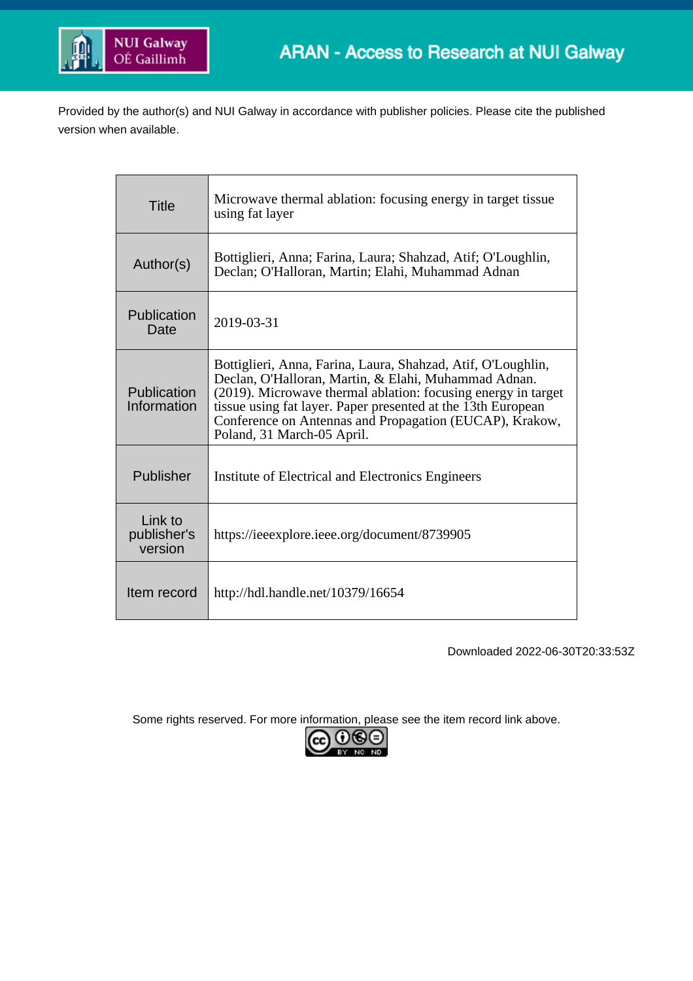

Provided by the author(s) and NUI Galway in accordance with publisher policies. Please cite the published version when available.

| <b>Title</b>                      | Microwave thermal ablation: focusing energy in target tissue<br>using fat layer                                                                                                                                                                                                                                                                |  |  |
|-----------------------------------|------------------------------------------------------------------------------------------------------------------------------------------------------------------------------------------------------------------------------------------------------------------------------------------------------------------------------------------------|--|--|
| Author(s)                         | Bottiglieri, Anna; Farina, Laura; Shahzad, Atif; O'Loughlin,<br>Declan; O'Halloran, Martin; Elahi, Muhammad Adnan                                                                                                                                                                                                                              |  |  |
| Publication<br>Date               | 2019-03-31                                                                                                                                                                                                                                                                                                                                     |  |  |
| Publication<br>Information        | Bottiglieri, Anna, Farina, Laura, Shahzad, Atif, O'Loughlin,<br>Declan, O'Halloran, Martin, & Elahi, Muhammad Adnan.<br>(2019). Microwave thermal ablation: focusing energy in target<br>tissue using fat layer. Paper presented at the 13th European<br>Conference on Antennas and Propagation (EUCAP), Krakow,<br>Poland, 31 March-05 April. |  |  |
| Publisher                         | Institute of Electrical and Electronics Engineers                                                                                                                                                                                                                                                                                              |  |  |
| Link to<br>publisher's<br>version | https://ieeexplore.ieee.org/document/8739905                                                                                                                                                                                                                                                                                                   |  |  |
| Item record                       | http://hdl.handle.net/10379/16654                                                                                                                                                                                                                                                                                                              |  |  |

Downloaded 2022-06-30T20:33:53Z

Some rights reserved. For more information, please see the item record link above.

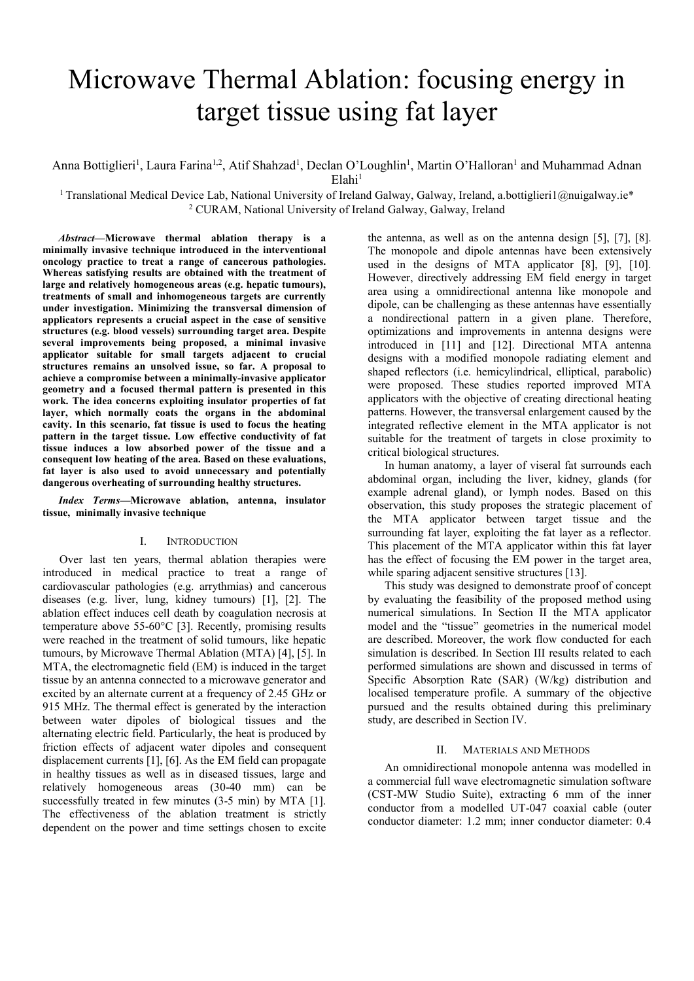# Microwave Thermal Ablation: focusing energy in target tissue using fat layer

Anna Bottiglieri<sup>1</sup>, Laura Farina<sup>1,2</sup>, Atif Shahzad<sup>1</sup>, Declan O'Loughlin<sup>1</sup>, Martin O'Halloran<sup>1</sup> and Muhammad Adnan  $E$ lahi<sup>1</sup>

<sup>1</sup> Translational Medical Device Lab, National University of Ireland Galway, Galway, Ireland, a.bottiglieri1@nuigalway.ie\* <sup>2</sup> CURAM, National University of Ireland Galway, Galway, Ireland

*Abstract***—Microwave thermal ablation therapy is a minimally invasive technique introduced in the interventional oncology practice to treat a range of cancerous pathologies. Whereas satisfying results are obtained with the treatment of large and relatively homogeneous areas (e.g. hepatic tumours), treatments of small and inhomogeneous targets are currently under investigation. Minimizing the transversal dimension of applicators represents a crucial aspect in the case of sensitive structures (e.g. blood vessels) surrounding target area. Despite several improvements being proposed, a minimal invasive applicator suitable for small targets adjacent to crucial structures remains an unsolved issue, so far. A proposal to achieve a compromise between a minimally-invasive applicator geometry and a focused thermal pattern is presented in this work. The idea concerns exploiting insulator properties of fat layer, which normally coats the organs in the abdominal cavity. In this scenario, fat tissue is used to focus the heating pattern in the target tissue. Low effective conductivity of fat tissue induces a low absorbed power of the tissue and a consequent low heating of the area. Based on these evaluations, fat layer is also used to avoid unnecessary and potentially dangerous overheating of surrounding healthy structures.** 

*Index Terms—***Microwave ablation, antenna, insulator tissue, minimally invasive technique**

## I. INTRODUCTION

Over last ten years, thermal ablation therapies were introduced in medical practice to treat a range of cardiovascular pathologies (e.g. arrythmias) and cancerous diseases (e.g. liver, lung, kidney tumours) [1], [2]. The ablation effect induces cell death by coagulation necrosis at temperature above 55-60°C [3]. Recently, promising results were reached in the treatment of solid tumours, like hepatic tumours, by Microwave Thermal Ablation (MTA) [4], [5]. In MTA, the electromagnetic field (EM) is induced in the target tissue by an antenna connected to a microwave generator and excited by an alternate current at a frequency of 2.45 GHz or 915 MHz. The thermal effect is generated by the interaction between water dipoles of biological tissues and the alternating electric field. Particularly, the heat is produced by friction effects of adjacent water dipoles and consequent displacement currents [1], [6]. As the EM field can propagate in healthy tissues as well as in diseased tissues, large and relatively homogeneous areas (30-40 mm) can be successfully treated in few minutes (3-5 min) by MTA [1]. The effectiveness of the ablation treatment is strictly dependent on the power and time settings chosen to excite

the antenna, as well as on the antenna design [5], [7], [8]. The monopole and dipole antennas have been extensively used in the designs of MTA applicator [8], [9], [10]. However, directively addressing EM field energy in target area using a omnidirectional antenna like monopole and dipole, can be challenging as these antennas have essentially a nondirectional pattern in a given plane. Therefore, optimizations and improvements in antenna designs were introduced in [11] and [12]. Directional MTA antenna designs with a modified monopole radiating element and shaped reflectors (i.e. hemicylindrical, elliptical, parabolic) were proposed. These studies reported improved MTA applicators with the objective of creating directional heating patterns. However, the transversal enlargement caused by the integrated reflective element in the MTA applicator is not suitable for the treatment of targets in close proximity to critical biological structures.

In human anatomy, a layer of viseral fat surrounds each abdominal organ, including the liver, kidney, glands (for example adrenal gland), or lymph nodes. Based on this observation, this study proposes the strategic placement of the MTA applicator between target tissue and the surrounding fat layer, exploiting the fat layer as a reflector. This placement of the MTA applicator within this fat layer has the effect of focusing the EM power in the target area, while sparing adjacent sensitive structures [13].

This study was designed to demonstrate proof of concept by evaluating the feasibility of the proposed method using numerical simulations. In Section II the MTA applicator model and the "tissue" geometries in the numerical model are described. Moreover, the work flow conducted for each simulation is described. In Section III results related to each performed simulations are shown and discussed in terms of Specific Absorption Rate (SAR) (W/kg) distribution and localised temperature profile. A summary of the objective pursued and the results obtained during this preliminary study, are described in Section IV.

#### II. MATERIALS AND METHODS

An omnidirectional monopole antenna was modelled in a commercial full wave electromagnetic simulation software (CST-MW Studio Suite), extracting 6 mm of the inner conductor from a modelled UT-047 coaxial cable (outer conductor diameter: 1.2 mm; inner conductor diameter: 0.4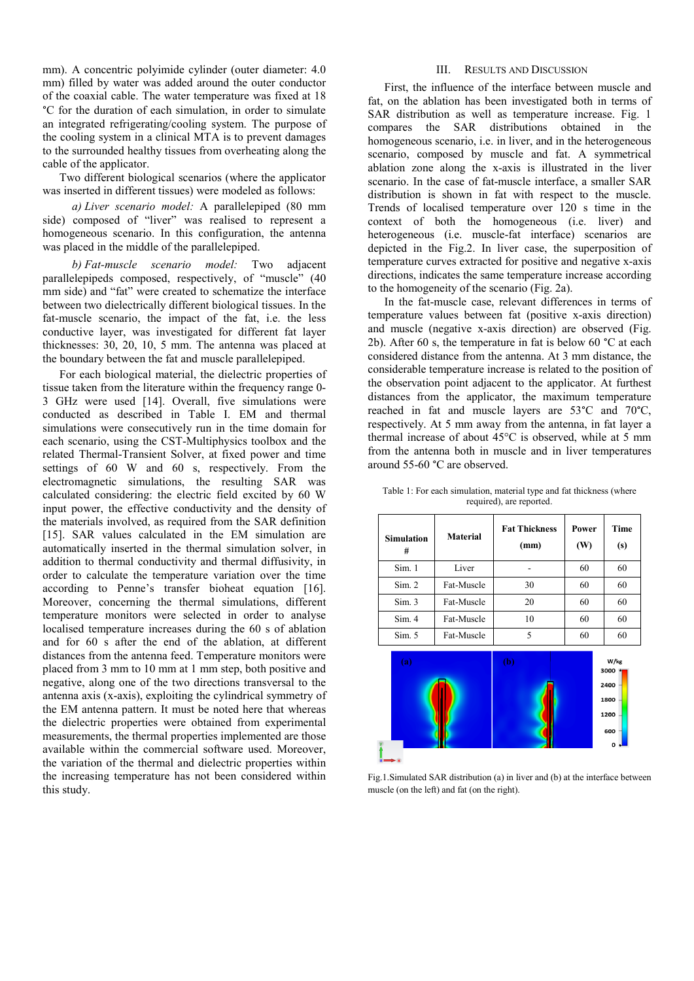mm). A concentric polyimide cylinder (outer diameter: 4.0 mm) filled by water was added around the outer conductor of the coaxial cable. The water temperature was fixed at 18 °C for the duration of each simulation, in order to simulate an integrated refrigerating/cooling system. The purpose of the cooling system in a clinical MTA is to prevent damages to the surrounded healthy tissues from overheating along the cable of the applicator.

Two different biological scenarios (where the applicator was inserted in different tissues) were modeled as follows:

*a) Liver scenario model:* A parallelepiped (80 mm side) composed of "liver" was realised to represent a homogeneous scenario. In this configuration, the antenna was placed in the middle of the parallelepiped.

*b) Fat-muscle scenario model:* Two adjacent parallelepipeds composed, respectively, of "muscle" (40 mm side) and "fat" were created to schematize the interface between two dielectrically different biological tissues. In the fat-muscle scenario, the impact of the fat, i.e. the less conductive layer, was investigated for different fat layer thicknesses: 30, 20, 10, 5 mm. The antenna was placed at the boundary between the fat and muscle parallelepiped.

For each biological material, the dielectric properties of tissue taken from the literature within the frequency range 0- 3 GHz were used [14]. Overall, five simulations were conducted as described in Table I. EM and thermal simulations were consecutively run in the time domain for each scenario, using the CST-Multiphysics toolbox and the related Thermal-Transient Solver, at fixed power and time settings of 60 W and 60 s, respectively. From the electromagnetic simulations, the resulting SAR was calculated considering: the electric field excited by 60 W input power, the effective conductivity and the density of the materials involved, as required from the SAR definition [15]. SAR values calculated in the EM simulation are automatically inserted in the thermal simulation solver, in addition to thermal conductivity and thermal diffusivity, in order to calculate the temperature variation over the time according to Penne's transfer bioheat equation [16]. Moreover, concerning the thermal simulations, different temperature monitors were selected in order to analyse localised temperature increases during the 60 s of ablation and for 60 s after the end of the ablation, at different distances from the antenna feed. Temperature monitors were placed from 3 mm to 10 mm at 1 mm step, both positive and negative, along one of the two directions transversal to the antenna axis (x-axis), exploiting the cylindrical symmetry of the EM antenna pattern. It must be noted here that whereas the dielectric properties were obtained from experimental measurements, the thermal properties implemented are those available within the commercial software used. Moreover, the variation of the thermal and dielectric properties within the increasing temperature has not been considered within this study.

## III. RESULTS AND DISCUSSION

First, the influence of the interface between muscle and fat, on the ablation has been investigated both in terms of SAR distribution as well as temperature increase. Fig. 1 compares the SAR distributions obtained in the homogeneous scenario, i.e. in liver, and in the heterogeneous scenario, composed by muscle and fat. A symmetrical ablation zone along the x-axis is illustrated in the liver scenario. In the case of fat-muscle interface, a smaller SAR distribution is shown in fat with respect to the muscle. Trends of localised temperature over 120 s time in the context of both the homogeneous (i.e. liver) and heterogeneous (i.e. muscle-fat interface) scenarios are depicted in the Fig.2. In liver case, the superposition of temperature curves extracted for positive and negative x-axis directions, indicates the same temperature increase according to the homogeneity of the scenario (Fig. 2a).

In the fat-muscle case, relevant differences in terms of temperature values between fat (positive x-axis direction) and muscle (negative x-axis direction) are observed (Fig. 2b). After 60 s, the temperature in fat is below 60 °C at each considered distance from the antenna. At 3 mm distance, the considerable temperature increase is related to the position of the observation point adjacent to the applicator. At furthest distances from the applicator, the maximum temperature reached in fat and muscle layers are 53°C and 70°C, respectively. At 5 mm away from the antenna, in fat layer a thermal increase of about 45°C is observed, while at 5 mm from the antenna both in muscle and in liver temperatures around 55-60 °C are observed.

| <b>Simulation</b><br># | <b>Material</b> | <b>Fat Thickness</b><br>(mm) | Power<br>(W) | Time<br>(s)  |
|------------------------|-----------------|------------------------------|--------------|--------------|
| Sim.1                  | Liver           |                              | 60           | 60           |
| Sim. 2                 | Fat-Muscle      | 30                           | 60           | 60           |
| Sim. 3                 | Fat-Muscle      | 20                           | 60           | 60           |
| Sim. 4                 | Fat-Muscle      | 10                           | 60           | 60           |
| Sim. 5                 | Fat-Muscle      | 5                            | 60           | 60           |
| (a)                    |                 | (b)                          |              | W/kg<br>3000 |

Table 1: For each simulation, material type and fat thickness (where required), are reported.

2400 1800 1200 con

Fig.1.Simulated SAR distribution (a) in liver and (b) at the interface between muscle (on the left) and fat (on the right).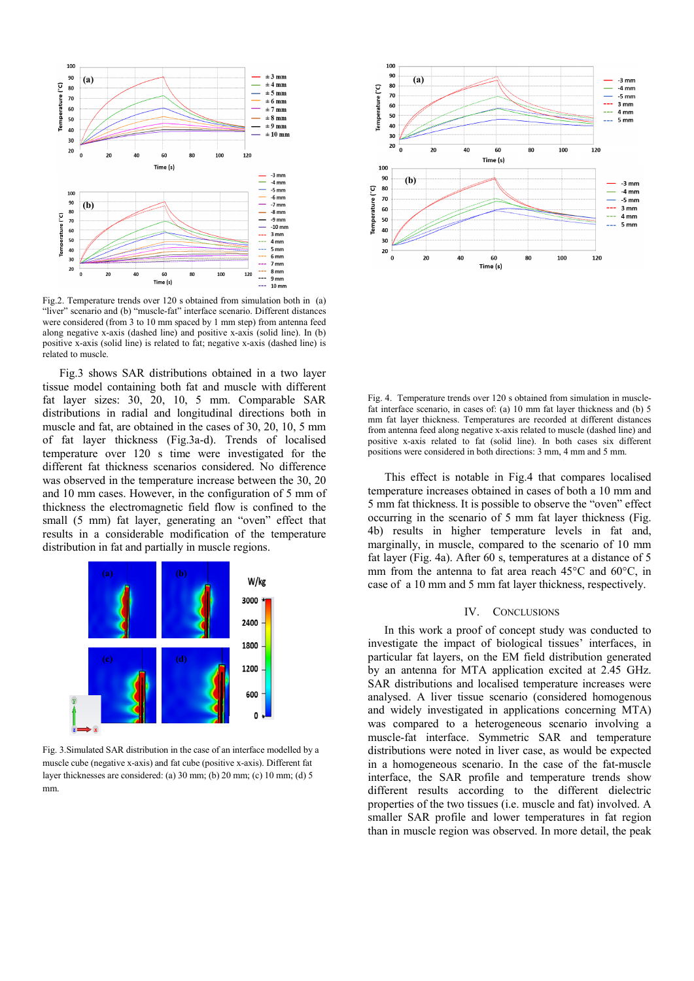

Fig.2. Temperature trends over 120 s obtained from simulation both in (a) "liver" scenario and (b) "muscle-fat" interface scenario. Different distances were considered (from 3 to 10 mm spaced by 1 mm step) from antenna feed along negative x-axis (dashed line) and positive x-axis (solid line). In (b) positive x-axis (solid line) is related to fat; negative x-axis (dashed line) is related to muscle.

Fig.3 shows SAR distributions obtained in a two layer tissue model containing both fat and muscle with different fat layer sizes: 30, 20, 10, 5 mm. Comparable SAR distributions in radial and longitudinal directions both in muscle and fat, are obtained in the cases of 30, 20, 10, 5 mm of fat layer thickness (Fig.3a-d). Trends of localised temperature over 120 s time were investigated for the different fat thickness scenarios considered. No difference was observed in the temperature increase between the 30, 20 and 10 mm cases. However, in the configuration of 5 mm of thickness the electromagnetic field flow is confined to the small (5 mm) fat layer, generating an "oven" effect that results in a considerable modification of the temperature distribution in fat and partially in muscle regions.



Fig. 3.Simulated SAR distribution in the case of an interface modelled by a muscle cube (negative x-axis) and fat cube (positive x-axis). Different fat layer thicknesses are considered: (a) 30 mm; (b) 20 mm; (c) 10 mm; (d) 5 mm.



Fig. 4. Temperature trends over 120 s obtained from simulation in musclefat interface scenario, in cases of: (a) 10 mm fat layer thickness and (b) 5 mm fat layer thickness. Temperatures are recorded at different distances from antenna feed along negative x-axis related to muscle (dashed line) and positive x-axis related to fat (solid line). In both cases six different positions were considered in both directions: 3 mm, 4 mm and 5 mm.

This effect is notable in Fig.4 that compares localised temperature increases obtained in cases of both a 10 mm and 5 mm fat thickness. It is possible to observe the "oven" effect occurring in the scenario of 5 mm fat layer thickness (Fig. 4b) results in higher temperature levels in fat and, marginally, in muscle, compared to the scenario of 10 mm fat layer (Fig. 4a). After 60 s, temperatures at a distance of 5 mm from the antenna to fat area reach 45°C and 60°C, in case of a 10 mm and 5 mm fat layer thickness, respectively.

## IV. CONCLUSIONS

In this work a proof of concept study was conducted to investigate the impact of biological tissues' interfaces, in particular fat layers, on the EM field distribution generated by an antenna for MTA application excited at 2.45 GHz. SAR distributions and localised temperature increases were analysed. A liver tissue scenario (considered homogenous and widely investigated in applications concerning MTA) was compared to a heterogeneous scenario involving a muscle-fat interface. Symmetric SAR and temperature distributions were noted in liver case, as would be expected in a homogeneous scenario. In the case of the fat-muscle interface, the SAR profile and temperature trends show different results according to the different dielectric properties of the two tissues (i.e. muscle and fat) involved. A smaller SAR profile and lower temperatures in fat region than in muscle region was observed. In more detail, the peak